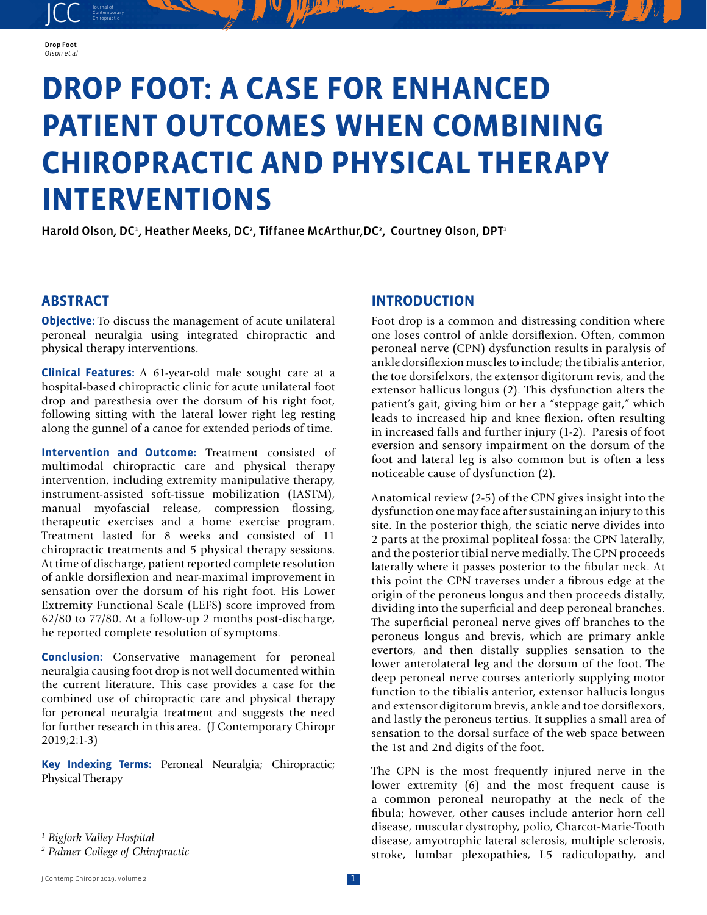

JCC contemporary Contemporary

# **DROP FOOT: A CASE FOR ENHANCED PATIENT OUTCOMES WHEN COMBINING CHIROPRACTIC AND PHYSICAL THERAPY INTERVENTIONS**

Harold Olson, DC<sup>1</sup>, Heather Meeks, DC<sup>2</sup>, Tiffanee McArthur,DC<sup>2</sup>, Courtney Olson, DPT<sup>1</sup>

## **ABSTRACT**

**Objective:** To discuss the management of acute unilateral peroneal neuralgia using integrated chiropractic and physical therapy interventions.

**Clinical Features:** A 61-year-old male sought care at a hospital-based chiropractic clinic for acute unilateral foot drop and paresthesia over the dorsum of his right foot, following sitting with the lateral lower right leg resting along the gunnel of a canoe for extended periods of time.

**Intervention and Outcome:** Treatment consisted of multimodal chiropractic care and physical therapy intervention, including extremity manipulative therapy, instrument-assisted soft-tissue mobilization (IASTM), manual myofascial release, compression flossing, therapeutic exercises and a home exercise program. Treatment lasted for 8 weeks and consisted of 11 chiropractic treatments and 5 physical therapy sessions. At time of discharge, patient reported complete resolution of ankle dorsiflexion and near-maximal improvement in sensation over the dorsum of his right foot. His Lower Extremity Functional Scale (LEFS) score improved from 62/80 to 77/80. At a follow-up 2 months post-discharge, he reported complete resolution of symptoms.

**Conclusion:** Conservative management for peroneal neuralgia causing foot drop is not well documented within the current literature. This case provides a case for the combined use of chiropractic care and physical therapy for peroneal neuralgia treatment and suggests the need for further research in this area. (J Contemporary Chiropr 2019;2:1-3)

**Key Indexing Terms:** Peroneal Neuralgia; Chiropractic; Physical Therapy

## **INTRODUCTION**

Foot drop is a common and distressing condition where one loses control of ankle dorsiflexion. Often, common peroneal nerve (CPN) dysfunction results in paralysis of ankle dorsiflexion muscles to include; the tibialis anterior, the toe dorsifelxors, the extensor digitorum revis, and the extensor hallicus longus (2). This dysfunction alters the patient's gait, giving him or her a "steppage gait," which leads to increased hip and knee flexion, often resulting in increased falls and further injury (1-2). Paresis of foot eversion and sensory impairment on the dorsum of the foot and lateral leg is also common but is often a less noticeable cause of dysfunction (2).

Anatomical review (2-5) of the CPN gives insight into the dysfunction one may face after sustaining an injury to this site. In the posterior thigh, the sciatic nerve divides into 2 parts at the proximal popliteal fossa: the CPN laterally, and the posterior tibial nerve medially. The CPN proceeds laterally where it passes posterior to the fibular neck. At this point the CPN traverses under a fibrous edge at the origin of the peroneus longus and then proceeds distally, dividing into the superficial and deep peroneal branches. The superficial peroneal nerve gives off branches to the peroneus longus and brevis, which are primary ankle evertors, and then distally supplies sensation to the lower anterolateral leg and the dorsum of the foot. The deep peroneal nerve courses anteriorly supplying motor function to the tibialis anterior, extensor hallucis longus and extensor digitorum brevis, ankle and toe dorsiflexors, and lastly the peroneus tertius. It supplies a small area of sensation to the dorsal surface of the web space between the 1st and 2nd digits of the foot.

The CPN is the most frequently injured nerve in the lower extremity (6) and the most frequent cause is a common peroneal neuropathy at the neck of the fibula; however, other causes include anterior horn cell disease, muscular dystrophy, polio, Charcot-Marie-Tooth disease, amyotrophic lateral sclerosis, multiple sclerosis, stroke, lumbar plexopathies, L5 radiculopathy, and

*<sup>1</sup> Bigfork Valley Hospital* 

*<sup>2</sup> Palmer College of Chiropractic*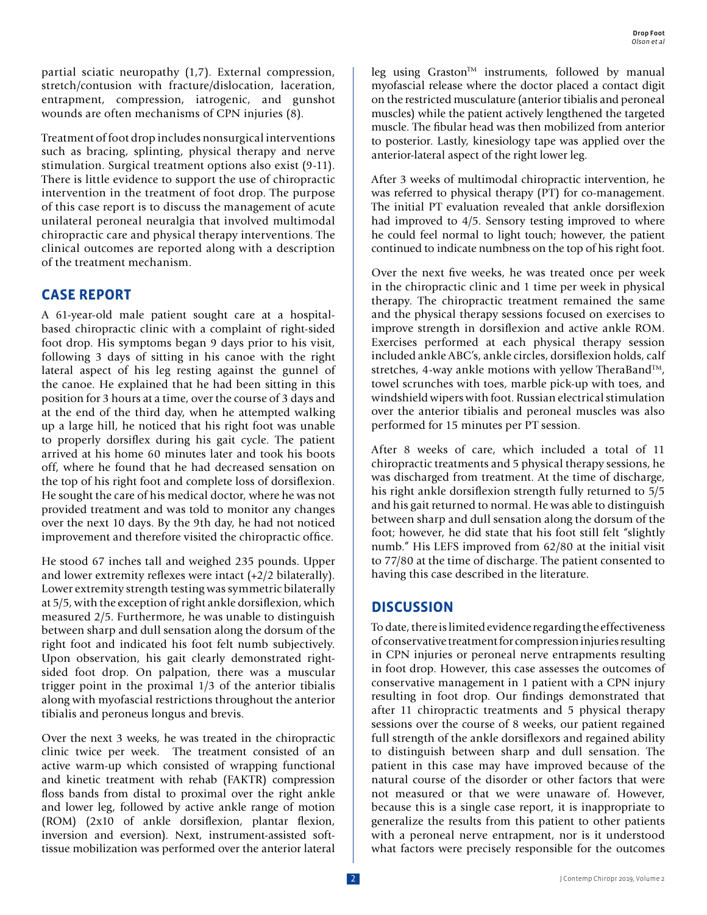partial sciatic neuropathy (1,7). External compression, stretch/contusion with fracture/dislocation, laceration, entrapment, compression, iatrogenic, and gunshot wounds are often mechanisms of CPN injuries (8).

Treatment of foot drop includes nonsurgical interventions such as bracing, splinting, physical therapy and nerve stimulation. Surgical treatment options also exist (9-11). There is little evidence to support the use of chiropractic intervention in the treatment of foot drop. The purpose of this case report is to discuss the management of acute unilateral peroneal neuralgia that involved multimodal chiropractic care and physical therapy interventions. The clinical outcomes are reported along with a description of the treatment mechanism.

## **CASE REPORT**

A 61-year-old male patient sought care at a hospitalbased chiropractic clinic with a complaint of right-sided foot drop. His symptoms began 9 days prior to his visit, following 3 days of sitting in his canoe with the right lateral aspect of his leg resting against the gunnel of the canoe. He explained that he had been sitting in this position for 3 hours at a time, over the course of 3 days and at the end of the third day, when he attempted walking up a large hill, he noticed that his right foot was unable to properly dorsiflex during his gait cycle. The patient arrived at his home 60 minutes later and took his boots off, where he found that he had decreased sensation on the top of his right foot and complete loss of dorsiflexion. He sought the care of his medical doctor, where he was not provided treatment and was told to monitor any changes over the next 10 days. By the 9th day, he had not noticed improvement and therefore visited the chiropractic office.

He stood 67 inches tall and weighed 235 pounds. Upper and lower extremity reflexes were intact (+2/2 bilaterally). Lower extremity strength testing was symmetric bilaterally at 5/5, with the exception of right ankle dorsiflexion, which measured 2/5. Furthermore, he was unable to distinguish between sharp and dull sensation along the dorsum of the right foot and indicated his foot felt numb subjectively. Upon observation, his gait clearly demonstrated rightsided foot drop. On palpation, there was a muscular trigger point in the proximal 1/3 of the anterior tibialis along with myofascial restrictions throughout the anterior tibialis and peroneus longus and brevis.

Over the next 3 weeks, he was treated in the chiropractic clinic twice per week. The treatment consisted of an active warm-up which consisted of wrapping functional and kinetic treatment with rehab (FAKTR) compression floss bands from distal to proximal over the right ankle and lower leg, followed by active ankle range of motion (ROM) (2x10 of ankle dorsiflexion, plantar flexion, inversion and eversion). Next, instrument-assisted softtissue mobilization was performed over the anterior lateral leg using Graston<sup>TM</sup> instruments, followed by manual myofascial release where the doctor placed a contact digit on the restricted musculature (anterior tibialis and peroneal muscles) while the patient actively lengthened the targeted muscle. The fibular head was then mobilized from anterior to posterior. Lastly, kinesiology tape was applied over the anterior-lateral aspect of the right lower leg.

After 3 weeks of multimodal chiropractic intervention, he was referred to physical therapy (PT) for co-management. The initial PT evaluation revealed that ankle dorsiflexion had improved to 4/5. Sensory testing improved to where he could feel normal to light touch; however, the patient continued to indicate numbness on the top of his right foot.

Over the next five weeks, he was treated once per week in the chiropractic clinic and 1 time per week in physical therapy. The chiropractic treatment remained the same and the physical therapy sessions focused on exercises to improve strength in dorsiflexion and active ankle ROM. Exercises performed at each physical therapy session included ankle ABC's, ankle circles, dorsiflexion holds, calf stretches, 4-way ankle motions with yellow TheraBand<sup>TM</sup>, towel scrunches with toes, marble pick-up with toes, and windshield wipers with foot. Russian electrical stimulation over the anterior tibialis and peroneal muscles was also performed for 15 minutes per PT session.

After 8 weeks of care, which included a total of 11 chiropractic treatments and 5 physical therapy sessions, he was discharged from treatment. At the time of discharge, his right ankle dorsiflexion strength fully returned to 5/5 and his gait returned to normal. He was able to distinguish between sharp and dull sensation along the dorsum of the foot; however, he did state that his foot still felt "slightly numb." His LEFS improved from 62/80 at the initial visit to 77/80 at the time of discharge. The patient consented to having this case described in the literature.

### **DISCUSSION**

To date, there is limited evidence regarding the effectiveness of conservative treatment for compression injuries resulting in CPN injuries or peroneal nerve entrapments resulting in foot drop. However, this case assesses the outcomes of conservative management in 1 patient with a CPN injury resulting in foot drop. Our findings demonstrated that after 11 chiropractic treatments and 5 physical therapy sessions over the course of 8 weeks, our patient regained full strength of the ankle dorsiflexors and regained ability to distinguish between sharp and dull sensation. The patient in this case may have improved because of the natural course of the disorder or other factors that were not measured or that we were unaware of. However, because this is a single case report, it is inappropriate to generalize the results from this patient to other patients with a peroneal nerve entrapment, nor is it understood what factors were precisely responsible for the outcomes